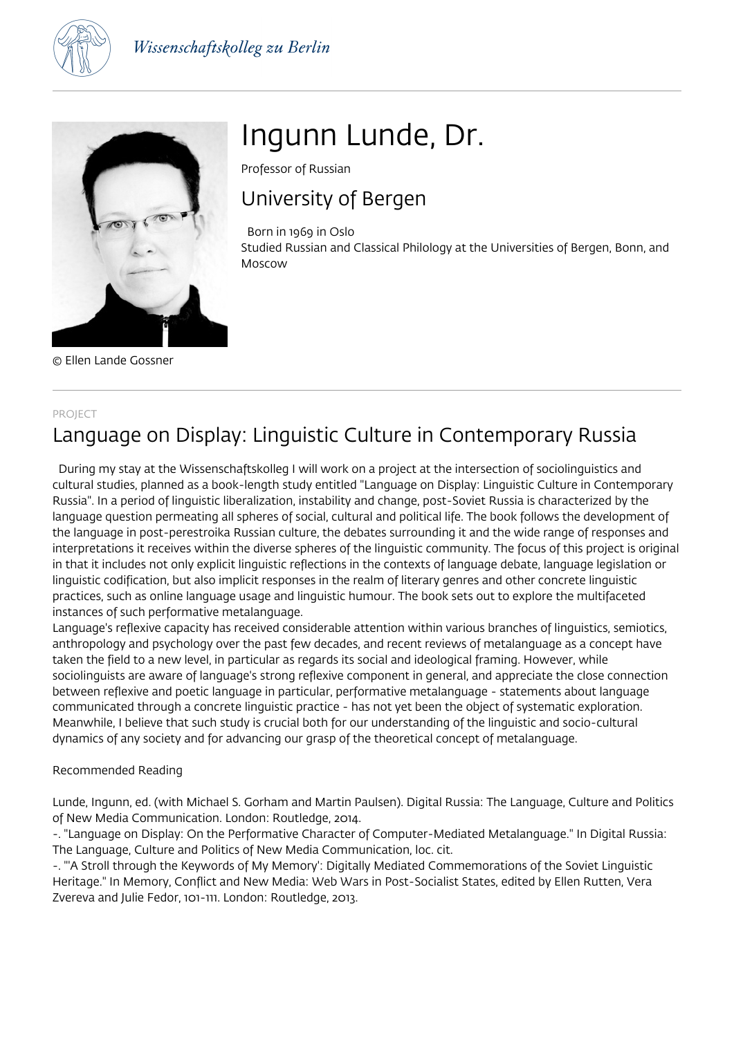



© Ellen Lande Gossner

# Ingunn Lunde, Dr.

Professor of Russian

# University of Bergen

Born in 1969 in Oslo

Studied Russian and Classical Philology at the Universities of Bergen, Bonn, and Moscow

#### PROJECT

# Language on Display: Linguistic Culture in Contemporary Russia

 During my stay at the Wissenschaftskolleg I will work on a project at the intersection of sociolinguistics and cultural studies, planned as a book-length study entitled "Language on Display: Linguistic Culture in Contemporary Russia". In a period of linguistic liberalization, instability and change, post-Soviet Russia is characterized by the language question permeating all spheres of social, cultural and political life. The book follows the development of the language in post-perestroika Russian culture, the debates surrounding it and the wide range of responses and interpretations it receives within the diverse spheres of the linguistic community. The focus of this project is original in that it includes not only explicit linguistic reflections in the contexts of language debate, language legislation or linguistic codification, but also implicit responses in the realm of literary genres and other concrete linguistic practices, such as online language usage and linguistic humour. The book sets out to explore the multifaceted instances of such performative metalanguage.

Language's reflexive capacity has received considerable attention within various branches of linguistics, semiotics, anthropology and psychology over the past few decades, and recent reviews of metalanguage as a concept have taken the field to a new level, in particular as regards its social and ideological framing. However, while sociolinguists are aware of language's strong reflexive component in general, and appreciate the close connection between reflexive and poetic language in particular, performative metalanguage - statements about language communicated through a concrete linguistic practice - has not yet been the object of systematic exploration. Meanwhile, I believe that such study is crucial both for our understanding of the linguistic and socio-cultural dynamics of any society and for advancing our grasp of the theoretical concept of metalanguage.

### Recommended Reading

Lunde, Ingunn, ed. (with Michael S. Gorham and Martin Paulsen). Digital Russia: The Language, Culture and Politics of New Media Communication. London: Routledge, 2014.

-. "Language on Display: On the Performative Character of Computer-Mediated Metalanguage." In Digital Russia: The Language, Culture and Politics of New Media Communication, loc. cit.

-. "'A Stroll through the Keywords of My Memory': Digitally Mediated Commemorations of the Soviet Linguistic Heritage." In Memory, Conflict and New Media: Web Wars in Post-Socialist States, edited by Ellen Rutten, Vera Zvereva and Julie Fedor, 101-111. London: Routledge, 2013.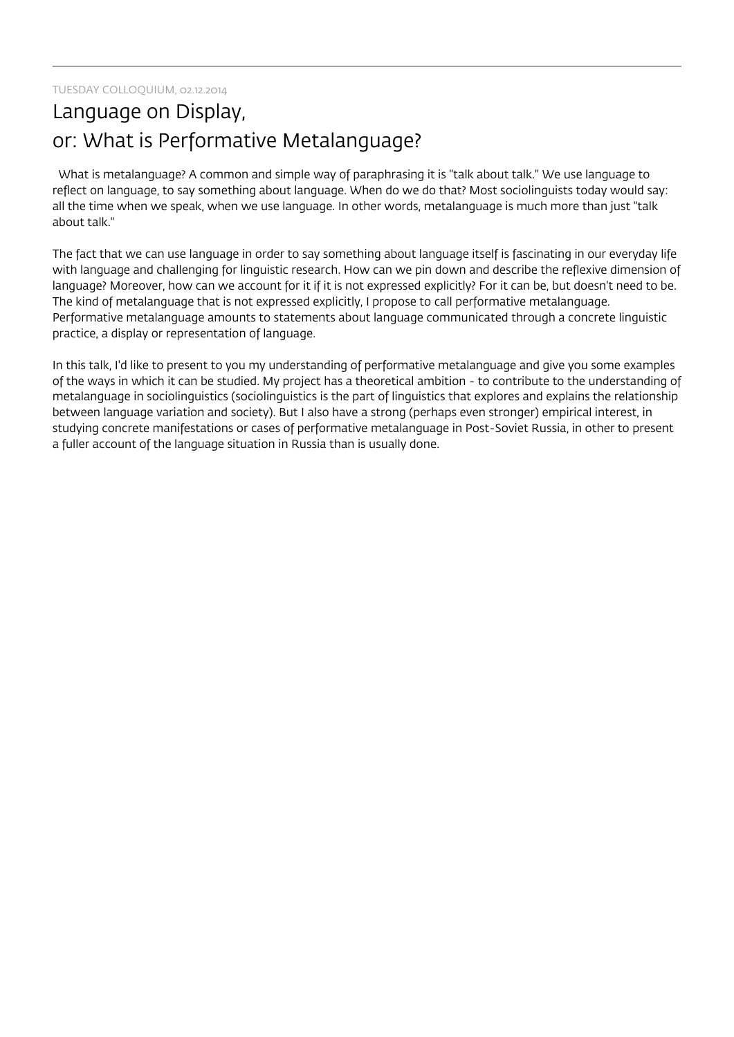TUESDAY COLLOQUIUM, 02.12.2014

## Language on Display, or: What is Performative Metalanguage?

 What is metalanguage? A common and simple way of paraphrasing it is "talk about talk." We use language to reflect on language, to say something about language. When do we do that? Most sociolinguists today would say: all the time when we speak, when we use language. In other words, metalanguage is much more than just "talk about talk."

The fact that we can use language in order to say something about language itself is fascinating in our everyday life with language and challenging for linguistic research. How can we pin down and describe the reflexive dimension of language? Moreover, how can we account for it if it is not expressed explicitly? For it can be, but doesn't need to be. The kind of metalanguage that is not expressed explicitly, I propose to call performative metalanguage. Performative metalanguage amounts to statements about language communicated through a concrete linguistic practice, a display or representation of language.

In this talk, I'd like to present to you my understanding of performative metalanguage and give you some examples of the ways in which it can be studied. My project has a theoretical ambition - to contribute to the understanding of metalanguage in sociolinguistics (sociolinguistics is the part of linguistics that explores and explains the relationship between language variation and society). But I also have a strong (perhaps even stronger) empirical interest, in studying concrete manifestations or cases of performative metalanguage in Post-Soviet Russia, in other to present a fuller account of the language situation in Russia than is usually done.